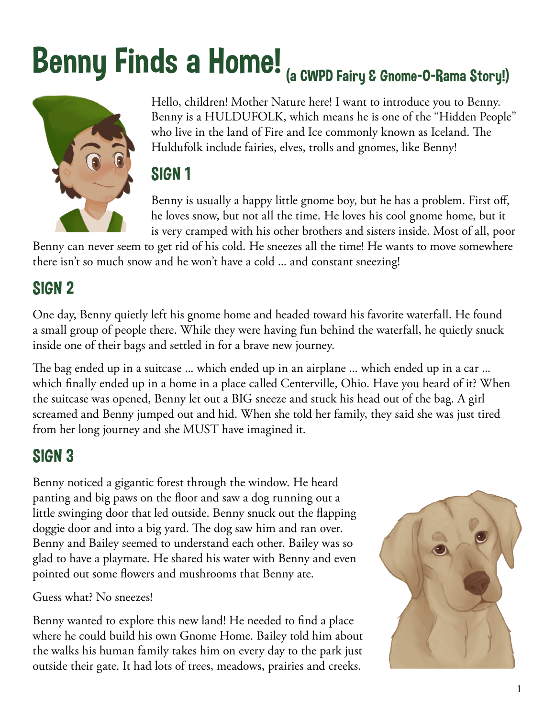# Benny Finds a Home! (a CWPD Fairy & Gnome-O-Rama Story!)



Hello, children! Mother Nature here! I want to introduce you to Benny. Benny is a HULDUFOLK, which means he is one of the "Hidden People" who live in the land of Fire and Ice commonly known as Iceland. The Huldufolk include fairies, elves, trolls and gnomes, like Benny!

#### SIGN 1

Benny is usually a happy little gnome boy, but he has a problem. First off, he loves snow, but not all the time. He loves his cool gnome home, but it is very cramped with his other brothers and sisters inside. Most of all, poor

Benny can never seem to get rid of his cold. He sneezes all the time! He wants to move somewhere there isn't so much snow and he won't have a cold ... and constant sneezing!

## SIGN 2

One day, Benny quietly left his gnome home and headed toward his favorite waterfall. He found a small group of people there. While they were having fun behind the waterfall, he quietly snuck inside one of their bags and settled in for a brave new journey.

The bag ended up in a suitcase ... which ended up in an airplane ... which ended up in a car ... which finally ended up in a home in a place called Centerville, Ohio. Have you heard of it? When the suitcase was opened, Benny let out a BIG sneeze and stuck his head out of the bag. A girl screamed and Benny jumped out and hid. When she told her family, they said she was just tired from her long journey and she MUST have imagined it.

## SIGN 3

Benny noticed a gigantic forest through the window. He heard panting and big paws on the floor and saw a dog running out a little swinging door that led outside. Benny snuck out the flapping doggie door and into a big yard. The dog saw him and ran over. Benny and Bailey seemed to understand each other. Bailey was so glad to have a playmate. He shared his water with Benny and even pointed out some flowers and mushrooms that Benny ate.

Guess what? No sneezes!

Benny wanted to explore this new land! He needed to find a place where he could build his own Gnome Home. Bailey told him about the walks his human family takes him on every day to the park just outside their gate. It had lots of trees, meadows, prairies and creeks.

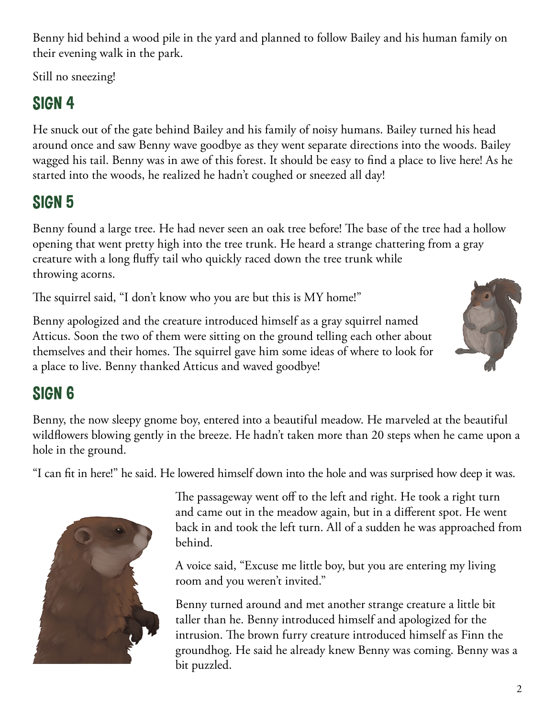Benny hid behind a wood pile in the yard and planned to follow Bailey and his human family on their evening walk in the park.

Still no sneezing!

## SIGN 4

He snuck out of the gate behind Bailey and his family of noisy humans. Bailey turned his head around once and saw Benny wave goodbye as they went separate directions into the woods. Bailey wagged his tail. Benny was in awe of this forest. It should be easy to find a place to live here! As he started into the woods, he realized he hadn't coughed or sneezed all day!

## SIGN 5

Benny found a large tree. He had never seen an oak tree before! The base of the tree had a hollow opening that went pretty high into the tree trunk. He heard a strange chattering from a gray creature with a long fluffy tail who quickly raced down the tree trunk while throwing acorns.

The squirrel said, "I don't know who you are but this is MY home!"

Benny apologized and the creature introduced himself as a gray squirrel named Atticus. Soon the two of them were sitting on the ground telling each other about themselves and their homes. The squirrel gave him some ideas of where to look for a place to live. Benny thanked Atticus and waved goodbye!

## SIGN 6

Benny, the now sleepy gnome boy, entered into a beautiful meadow. He marveled at the beautiful wildflowers blowing gently in the breeze. He hadn't taken more than 20 steps when he came upon a hole in the ground.

"I can fit in here!" he said. He lowered himself down into the hole and was surprised how deep it was.



The passageway went off to the left and right. He took a right turn and came out in the meadow again, but in a different spot. He went back in and took the left turn. All of a sudden he was approached from behind.

A voice said, "Excuse me little boy, but you are entering my living room and you weren't invited."

Benny turned around and met another strange creature a little bit taller than he. Benny introduced himself and apologized for the intrusion. The brown furry creature introduced himself as Finn the groundhog. He said he already knew Benny was coming. Benny was a bit puzzled.

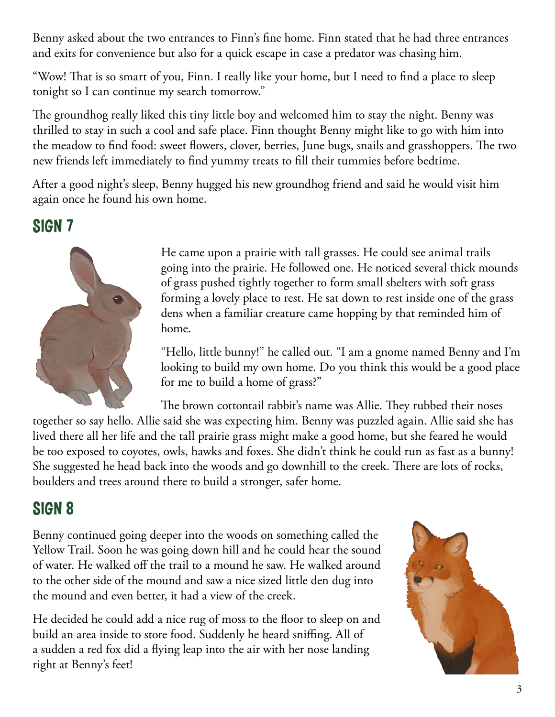Benny asked about the two entrances to Finn's fine home. Finn stated that he had three entrances and exits for convenience but also for a quick escape in case a predator was chasing him.

"Wow! That is so smart of you, Finn. I really like your home, but I need to find a place to sleep tonight so I can continue my search tomorrow."

The groundhog really liked this tiny little boy and welcomed him to stay the night. Benny was thrilled to stay in such a cool and safe place. Finn thought Benny might like to go with him into the meadow to find food: sweet flowers, clover, berries, June bugs, snails and grasshoppers. The two new friends left immediately to find yummy treats to fill their tummies before bedtime.

After a good night's sleep, Benny hugged his new groundhog friend and said he would visit him again once he found his own home.

SIGN 7



He came upon a prairie with tall grasses. He could see animal trails going into the prairie. He followed one. He noticed several thick mounds of grass pushed tightly together to form small shelters with soft grass forming a lovely place to rest. He sat down to rest inside one of the grass dens when a familiar creature came hopping by that reminded him of home.

"Hello, little bunny!" he called out. "I am a gnome named Benny and I'm looking to build my own home. Do you think this would be a good place for me to build a home of grass?"

The brown cottontail rabbit's name was Allie. They rubbed their noses together so say hello. Allie said she was expecting him. Benny was puzzled again. Allie said she has lived there all her life and the tall prairie grass might make a good home, but she feared he would be too exposed to coyotes, owls, hawks and foxes. She didn't think he could run as fast as a bunny! She suggested he head back into the woods and go downhill to the creek. There are lots of rocks, boulders and trees around there to build a stronger, safer home.

#### SIGN 8

Benny continued going deeper into the woods on something called the Yellow Trail. Soon he was going down hill and he could hear the sound of water. He walked off the trail to a mound he saw. He walked around to the other side of the mound and saw a nice sized little den dug into the mound and even better, it had a view of the creek.

He decided he could add a nice rug of moss to the floor to sleep on and build an area inside to store food. Suddenly he heard sniffing. All of a sudden a red fox did a flying leap into the air with her nose landing right at Benny's feet!